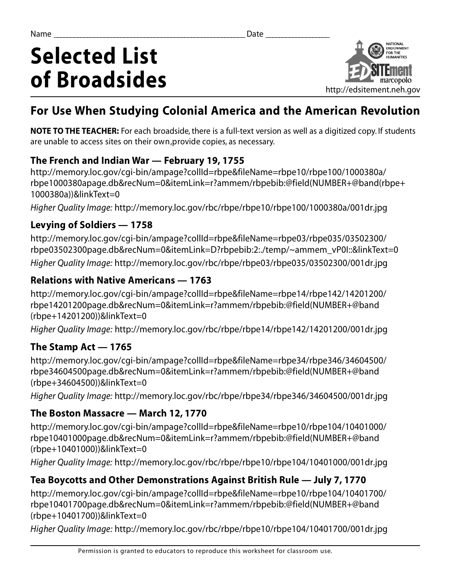# **Selected List of Broadsides**



# **For Use When Studying Colonial America and the American Revolution**

**NOTE TO THE TEACHER:** For each broadside, there is a full-text version as well as a digitized copy. If students are unable to access sites on their own, provide copies, as necessary.

#### **The French and Indian War - February 19, 1755**

http://memory.loc.gov/cgi-bin/ampage?collId=rbpe&fileName=rbpe10/rbpe100/1000380a/ rbpe1000380apage.db&recNum=0&itemLink=r?ammem/rbpebib:@field(NUMBER+@band(rbpe+ 1000380a))&linkText=0

*Higher Quality Image: http://memory.loc.gov/rbc/rbpe/rbpe10/rbpe100/1000380a/001dr.jpg* 

### **Levying of Soldiers — 1758**

http://memory.loc.gov/cgi-bin/ampage?collId=rbpe&fileName=rbpe03/rbpe035/03502300/ rbpe03502300page.db&recNum=0&itemLink=D?rbpebib:2:./temp/~ammem\_vP0I::&linkText=0 *Higher Quality Image: http://memory.loc.gov/rbc/rbpe/rbpe03/rbpe035/03502300/001dr.jpg* 

### **Relations with Native Americans — 1763**

http://memory.loc.gov/cgi-bin/ampage?collId=rbpe&fileName=rbpe14/rbpe142/14201200/ rbpe14201200page.db&recNum=0&itemLink=r?ammem/rbpebib:@field(NUMBER+@band (rbpe+14201200))&linkText=0

*Higher Quality Image: http://memory.loc.gov/rbc/rbpe/rbpe14/rbpe142/14201200/001dr.jpg* 

# **The Stamp Act — 1765**

http://memory.loc.gov/cgi-bin/ampage?collId=rbpe&fileName=rbpe34/rbpe346/34604500/ rbpe34604500page.db&recNum=0&itemLink=r?ammem/rbpebib:@field(NUMBER+@band  $(rbpe+34604500)$ )&linkText=0

*Higher Quality Image: http://memory.loc.gov/rbc/rbpe/rbpe34/rbpe346/34604500/001dr.jpg* 

# **The Boston Massacre — March 12, 1770**

http://memory.loc.gov/cgi-bin/ampage?collId=rbpe&fileName=rbpe10/rbpe104/10401000/ rbpe10401000page.db&recNum=0&itemLink=r?ammem/rbpebib:@field(NUMBER+@band  $(rbpe+10401000)$ )& $linkText=0$ 

*Higher Quality Image: http://memory.loc.gov/rbc/rbpe/rbpe10/rbpe104/10401000/001dr.jpg* 

# **Tea Boycotts and Other Demonstrations Against British Rule — July 7, 1770**

http://memory.loc.gov/cgi-bin/ampage?collId=rbpe&fileName=rbpe10/rbpe104/10401700/ rbpe10401700page.db&recNum=0&itemLink=r?ammem/rbpebib:@field(NUMBER+@band (rbpe+10401700))&linkText=0

*Higher Quality Image: http://memory.loc.gov/rbc/rbpe/rbpe10/rbpe104/10401700/001dr.jpg*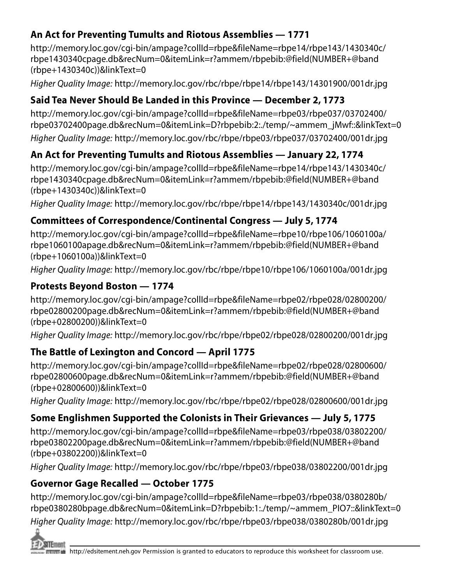### **An Act for Preventing Tumults and Riotous Assemblies - 1771**

http://memory.loc.gov/cgi-bin/ampage?collId=rbpe&fileName=rbpe14/rbpe143/1430340c/ rbpe1430340cpage.db&recNum=0&itemLink=r?ammem/rbpebib:@field(NUMBER+@band  $(rbpe+1430340c)$ )& $linkText=0$ 

*Higher Quality Image: http://memory.loc.gov/rbc/rbpe/rbpe14/rbpe143/14301900/001dr.jpg* 

# **Said Tea Never Should Be Landed in this Province — December 2, 1773**

http://memory.loc.gov/cgi-bin/ampage?collId=rbpe&fileName=rbpe03/rbpe037/03702400/ rbpe03702400page.db&recNum=0&itemLink=D?rbpebib:2:./temp/~ammem\_jMwf::&linkText=0 *Higher Quality Image: http://memory.loc.gov/rbc/rbpe/rbpe03/rbpe037/03702400/001dr.jpg* 

# An Act for Preventing Tumults and Riotous Assemblies — January 22, 1774

http://memory.loc.gov/cgi-bin/ampage?collId=rbpe&fileName=rbpe14/rbpe143/1430340c/ rbpe1430340cpage.db&recNum=0&itemLink=r?ammem/rbpebib:@field(NUMBER+@band  $(rbpe+1430340c)$ )&linkText=0

*Higher Quality Image: http://memory.loc.gov/rbc/rbpe/rbpe14/rbpe143/1430340c/001dr.jpg* 

# **Committees of Correspondence/Continental Congress — July 5, 1774**

http://memory.loc.gov/cgi-bin/ampage?collId=rbpe&fileName=rbpe10/rbpe106/1060100a/ rbpe1060100apage.db&recNum=0&itemLink=r?ammem/rbpebib:@field(NUMBER+@band  $(rbpe+1060100a)$ )& $linkText=0$ 

*Higher Quality Image: http://memory.loc.gov/rbc/rbpe/rbpe10/rbpe106/1060100a/001dr.jpg* 

# **Protests Beyond Boston — 1774**

http://memory.loc.gov/cgi-bin/ampage?collId=rbpe&fileName=rbpe02/rbpe028/02800200/ rbpe02800200page.db&recNum=0&itemLink=r?ammem/rbpebib:@field(NUMBER+@band (rbpe+02800200))&linkText=0

*Higher Quality Image: http://memory.loc.gov/rbc/rbpe/rbpe02/rbpe028/02800200/001dr.jpg* 

# **The Battle of Lexington and Concord — April 1775**

http://memory.loc.gov/cgi-bin/ampage?collId=rbpe&fileName=rbpe02/rbpe028/02800600/ rbpe02800600page.db&recNum=0&itemLink=r?ammem/rbpebib:@field(NUMBER+@band (rbpe+02800600))&linkText=0

*Higher Quality Image: http://memory.loc.gov/rbc/rbpe/rbpe02/rbpe028/02800600/001dr.jpg* 

# **Some Englishmen Supported the Colonists in Their Grievances — July 5, 1775**

http://memory.loc.gov/cgi-bin/ampage?collId=rbpe&fileName=rbpe03/rbpe038/03802200/ rbpe03802200page.db&recNum=0&itemLink=r?ammem/rbpebib:@field(NUMBER+@band (rbpe+03802200))&linkText=0

*Higher Quality Image: http://memory.loc.gov/rbc/rbpe/rbpe03/rbpe038/03802200/001dr.jpg* 

# **Governor Gage Recalled — October 1775**

http://memory.loc.gov/cgi-bin/ampage?collId=rbpe&fileName=rbpe03/rbpe038/0380280b/ rbpe0380280bpage.db&recNum=0&itemLink=D?rbpebib:1:./temp/~ammem\_PIO7::&linkText=0

*Higher Quality Image: http://memory.loc.gov/rbc/rbpe/rbpe03/rbpe038/0380280b/001dr.jpg*